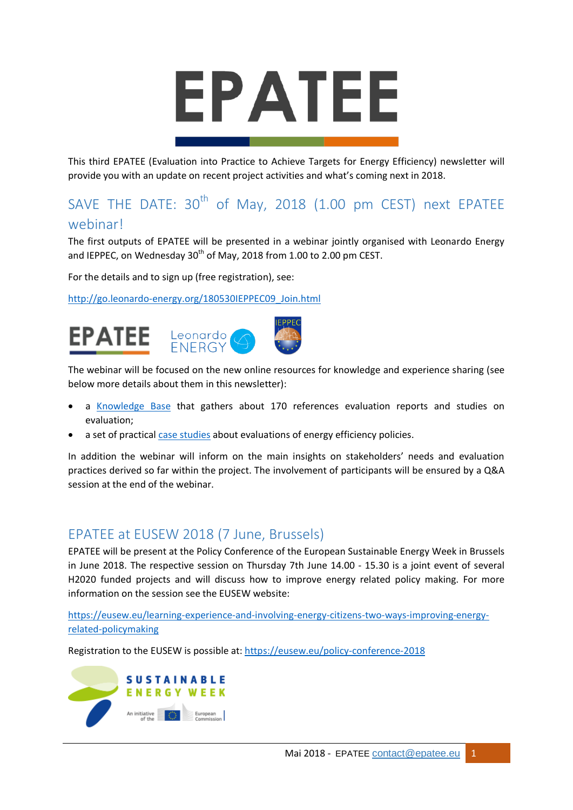# EPATEE

This third EPATEE (Evaluation into Practice to Achieve Targets for Energy Efficiency) newsletter will provide you with an update on recent project activities and what's coming next in 2018.

# SAVE THE DATE:  $30^{th}$  of May, 2018 (1.00 pm CEST) next EPATEE webinar!

The first outputs of EPATEE will be presented in a webinar jointly organised with Leonardo Energy and IEPPEC, on Wednesday  $30<sup>th</sup>$  of May, 2018 from 1.00 to 2.00 pm CEST.

For the details and to sign up (free registration), see:

[http://go.leonardo-energy.org/180530IEPPEC09\\_Join.html](http://go.leonardo-energy.org/180530IEPPEC09_Join.html)



The webinar will be focused on the new online resources for knowledge and experience sharing (see below more details about them in this newsletter):

- a [Knowledge Base](https://www.epatee-lib.eu/) that gathers about 170 references evaluation reports and studies on evaluation;
- a set of practical [case studies](https://epatee.eu/case-studies) about evaluations of energy efficiency policies.

In addition the webinar will inform on the main insights on stakeholders' needs and evaluation practices derived so far within the project. The involvement of participants will be ensured by a Q&A session at the end of the webinar.

### EPATEE at EUSEW 2018 (7 June, Brussels)

EPATEE will be present at the Policy Conference of the European Sustainable Energy Week in Brussels in June 2018. The respective session on Thursday 7th June 14.00 - 15.30 is a joint event of several H2020 funded projects and will discuss how to improve energy related policy making. For more information on the session see the EUSEW website:

[https://eusew.eu/learning-experience-and-involving-energy-citizens-two-ways-improving-energy](https://eusew.eu/learning-experience-and-involving-energy-citizens-two-ways-improving-energy-related-policymaking)[related-policymaking](https://eusew.eu/learning-experience-and-involving-energy-citizens-two-ways-improving-energy-related-policymaking)

Registration to the EUSEW is possible at:<https://eusew.eu/policy-conference-2018>

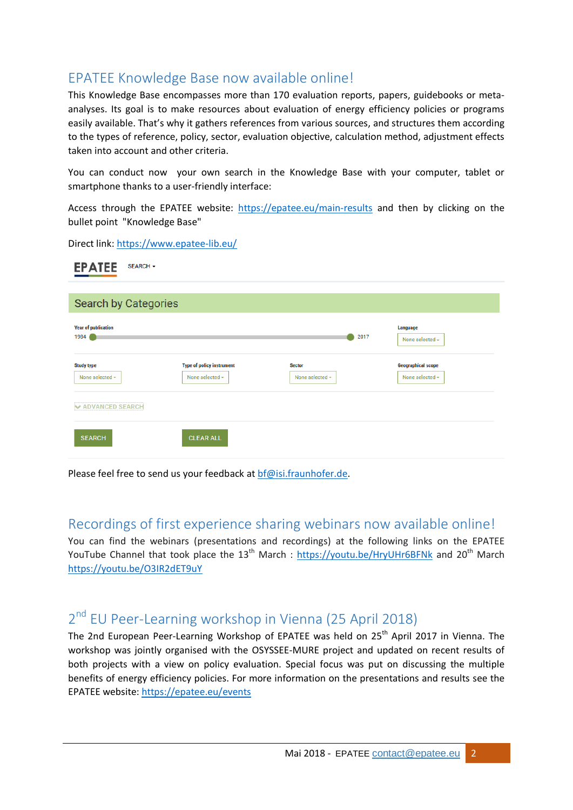## EPATEE Knowledge Base now available online!

This Knowledge Base encompasses more than 170 evaluation reports, papers, guidebooks or metaanalyses. Its goal is to make resources about evaluation of energy efficiency policies or programs easily available. That's why it gathers references from various sources, and structures them according to the types of reference, policy, sector, evaluation objective, calculation method, adjustment effects taken into account and other criteria.

You can conduct now your own search in the Knowledge Base with your computer, tablet or smartphone thanks to a user-friendly interface:

Access through the EPATEE website:<https://epatee.eu/main-results> and then by clicking on the bullet point "Knowledge Base"

Direct link:<https://www.epatee-lib.eu/>

 $-1 - 1 - 1$ 

| <b>EPATEE</b>                        | SEARCH -                                            |                                  |                                              |
|--------------------------------------|-----------------------------------------------------|----------------------------------|----------------------------------------------|
|                                      |                                                     |                                  |                                              |
| Search by Categories                 |                                                     |                                  |                                              |
| <b>Year of publication</b><br>1984   |                                                     | 2017                             | Language<br>None selected -                  |
| <b>Study type</b><br>None selected - | <b>Type of policy instrument</b><br>None selected - | <b>Sector</b><br>None selected - | <b>Geographical scope</b><br>None selected - |
| <b>V ADVANCED SEARCH</b>             |                                                     |                                  |                                              |
| <b>SEARCH</b>                        | <b>CLEAR ALL</b>                                    |                                  |                                              |

Please feel free to send us your feedback at [bf@isi.fraunhofer.de.](mailto:bf@isi.fraunhofer.de)

### Recordings of first experience sharing webinars now available online!

You can find the webinars (presentations and recordings) at the following links on the EPATEE YouTube Channel that took place the  $13<sup>th</sup>$  March :<https://youtu.be/HryUHr6BFNk> and 20<sup>th</sup> March <https://youtu.be/O3IR2dET9uY>

# 2<sup>nd</sup> EU Peer-Learning workshop in Vienna (25 April 2018)

The 2nd European Peer-Learning Workshop of EPATEE was held on 25<sup>th</sup> April 2017 in Vienna. The workshop was jointly organised with the OSYSSEE-MURE project and updated on recent results of both projects with a view on policy evaluation. Special focus was put on discussing the multiple benefits of energy efficiency policies. For more information on the presentations and results see the EPATEE website: <https://epatee.eu/events>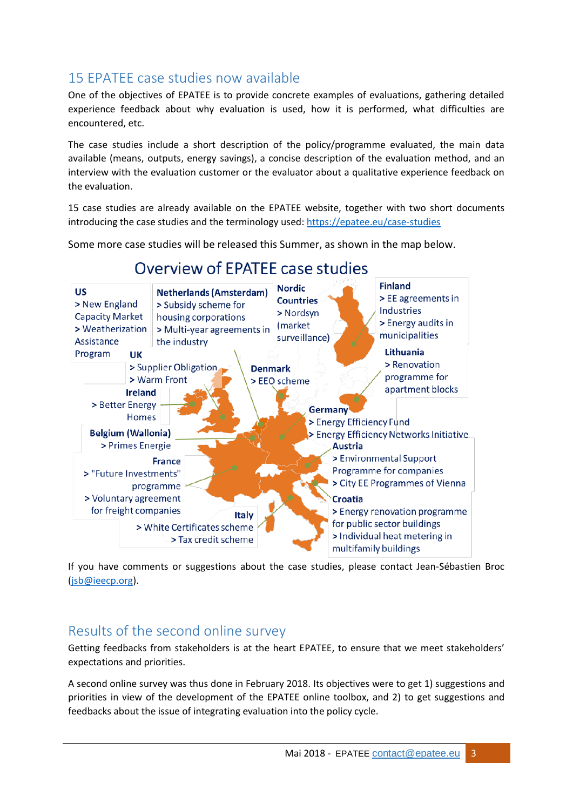# 15 EPATEE case studies now available

One of the objectives of EPATEE is to provide concrete examples of evaluations, gathering detailed experience feedback about why evaluation is used, how it is performed, what difficulties are encountered, etc.

The case studies include a short description of the policy/programme evaluated, the main data available (means, outputs, energy savings), a concise description of the evaluation method, and an interview with the evaluation customer or the evaluator about a qualitative experience feedback on the evaluation.

15 case studies are already available on the EPATEE website, together with two short documents introducing the case studies and the terminology used:<https://epatee.eu/case-studies>

Some more case studies will be released this Summer, as shown in the map below.



# Overview of EPATEE case studies

If you have comments or suggestions about the case studies, please contact Jean-Sébastien Broc [\(jsb@ieecp.org\)](mailto:jsb@ieecp.org).

### Results of the second online survey

Getting feedbacks from stakeholders is at the heart EPATEE, to ensure that we meet stakeholders' expectations and priorities.

A second online survey was thus done in February 2018. Its objectives were to get 1) suggestions and priorities in view of the development of the EPATEE online toolbox, and 2) to get suggestions and feedbacks about the issue of integrating evaluation into the policy cycle.